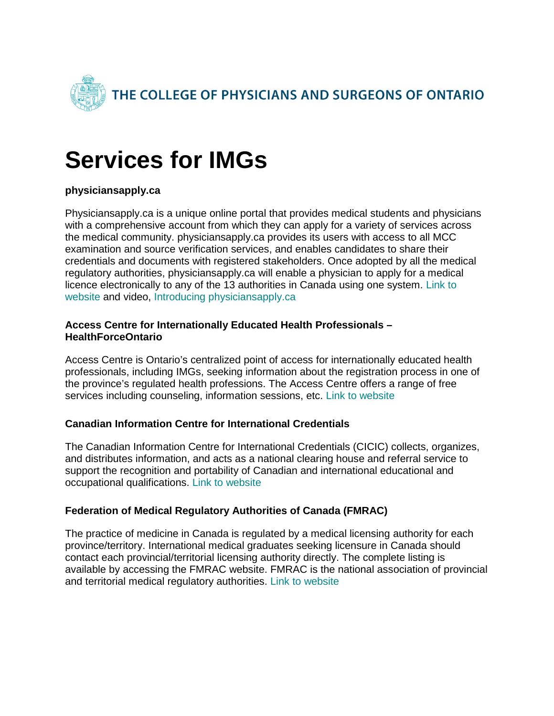

# **Services for IMGs**

## **physiciansapply.ca**

Physiciansapply.ca is a unique online portal that provides medical students and physicians with a comprehensive account from which they can apply for a variety of services across the medical community. physiciansapply.ca provides its users with access to all MCC examination and source verification services, and enables candidates to share their credentials and documents with registered stakeholders. Once adopted by all the medical regulatory authorities, physiciansapply.ca will enable a physician to apply for a medical licence electronically to any of the 13 authorities in Canada using one system. [Link to](https://physiciansapply.ca/)  [website](https://physiciansapply.ca/) and video, [Introducing physiciansapply.ca](https://www.youtube.com/watch?v=57PSYd7SBEk)

#### **Access Centre for Internationally Educated Health Professionals – HealthForceOntario**

Access Centre is Ontario's centralized point of access for internationally educated health professionals, including IMGs, seeking information about the registration process in one of the province's regulated health professions. The Access Centre offers a range of free services including counseling, information sessions, etc. [Link to website](http://www.healthforceontario.ca/en/Home/All_Programs/Access_Centre/Services_for_IEHPs)

## **Canadian Information Centre for International Credentials**

The Canadian Information Centre for International Credentials (CICIC) collects, organizes, and distributes information, and acts as a national clearing house and referral service to support the recognition and portability of Canadian and international educational and occupational qualifications. [Link to website](https://www.cicic.ca/)

## **Federation of Medical Regulatory Authorities of Canada (FMRAC)**

The practice of medicine in Canada is regulated by a medical licensing authority for each province/territory. International medical graduates seeking licensure in Canada should contact each provincial/territorial licensing authority directly. The complete listing is available by accessing the FMRAC website. FMRAC is the national association of provincial and territorial medical regulatory authorities. [Link to website](https://fmrac.ca/)